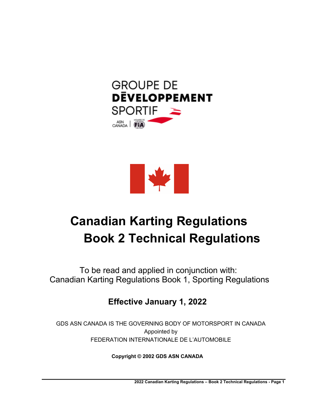



# **Canadian Karting Regulations Book 2 Technical Regulations**

To be read and applied in conjunction with: Canadian Karting Regulations Book 1, Sporting Regulations

# **Effective January 1, 2022**

GDS ASN CANADA IS THE GOVERNING BODY OF MOTORSPORT IN CANADA Appointed by FEDERATION INTERNATIONALE DE L'AUTOMOBILE

**Copyright © 2002 GDS ASN CANADA**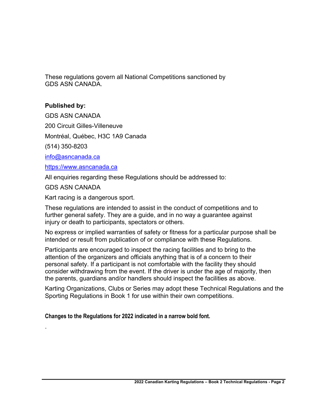These regulations govern all National Competitions sanctioned by GDS ASN CANADA.

# **Published by:**

GDS ASN CANADA

200 Circuit Gilles-Villeneuve

Montréal, Québec, H3C 1A9 Canada

(514) 350-8203

info@asncanada.ca

https://www.asncanada.ca

All enquiries regarding these Regulations should be addressed to:

GDS ASN CANADA

.

Kart racing is a dangerous sport.

These regulations are intended to assist in the conduct of competitions and to further general safety. They are a guide, and in no way a guarantee against injury or death to participants, spectators or others.

No express or implied warranties of safety or fitness for a particular purpose shall be intended or result from publication of or compliance with these Regulations.

Participants are encouraged to inspect the racing facilities and to bring to the attention of the organizers and officials anything that is of a concern to their personal safety. If a participant is not comfortable with the facility they should consider withdrawing from the event. If the driver is under the age of majority, then the parents, guardians and/or handlers should inspect the facilities as above.

Karting Organizations, Clubs or Series may adopt these Technical Regulations and the Sporting Regulations in Book 1 for use within their own competitions.

**Changes to the Regulations for 2022 indicated in a narrow bold font.**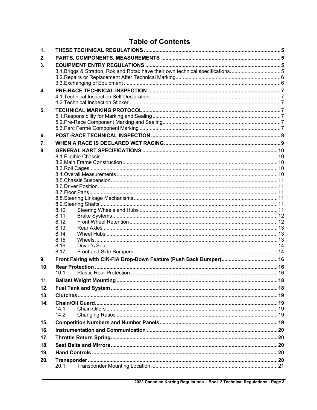# **Table of Contents**

| $\mathbf 1$ .   |                                                                               |  |  |  |  |
|-----------------|-------------------------------------------------------------------------------|--|--|--|--|
| 2.              |                                                                               |  |  |  |  |
| 3.              |                                                                               |  |  |  |  |
|                 | 3.1. Briggs & Stratton, Rok and Rotax have their own technical specifications |  |  |  |  |
|                 |                                                                               |  |  |  |  |
|                 |                                                                               |  |  |  |  |
| 4.              |                                                                               |  |  |  |  |
|                 |                                                                               |  |  |  |  |
| 5.              |                                                                               |  |  |  |  |
|                 |                                                                               |  |  |  |  |
|                 |                                                                               |  |  |  |  |
|                 |                                                                               |  |  |  |  |
| 6.              |                                                                               |  |  |  |  |
| 7.              |                                                                               |  |  |  |  |
| 8.              |                                                                               |  |  |  |  |
|                 |                                                                               |  |  |  |  |
|                 |                                                                               |  |  |  |  |
|                 |                                                                               |  |  |  |  |
|                 |                                                                               |  |  |  |  |
|                 |                                                                               |  |  |  |  |
|                 |                                                                               |  |  |  |  |
|                 |                                                                               |  |  |  |  |
|                 |                                                                               |  |  |  |  |
|                 | 8.10.<br>8.11.                                                                |  |  |  |  |
|                 | 8.12.                                                                         |  |  |  |  |
|                 | 8.13.                                                                         |  |  |  |  |
|                 | 8.14.                                                                         |  |  |  |  |
|                 | 8.15.                                                                         |  |  |  |  |
|                 | 8.16.                                                                         |  |  |  |  |
|                 | 8.17.                                                                         |  |  |  |  |
| 9.              |                                                                               |  |  |  |  |
| 10 <sub>1</sub> | $10.1$ .                                                                      |  |  |  |  |
|                 |                                                                               |  |  |  |  |
| 11.             |                                                                               |  |  |  |  |
| 12.             |                                                                               |  |  |  |  |
| 13.             |                                                                               |  |  |  |  |
| 14.             |                                                                               |  |  |  |  |
|                 | 14.1.<br>14.2.                                                                |  |  |  |  |
|                 |                                                                               |  |  |  |  |
| 15.             |                                                                               |  |  |  |  |
| 16.             |                                                                               |  |  |  |  |
| 17.             |                                                                               |  |  |  |  |
| 18.             |                                                                               |  |  |  |  |
| 19.             |                                                                               |  |  |  |  |
| 20.             |                                                                               |  |  |  |  |
|                 | 20.1.                                                                         |  |  |  |  |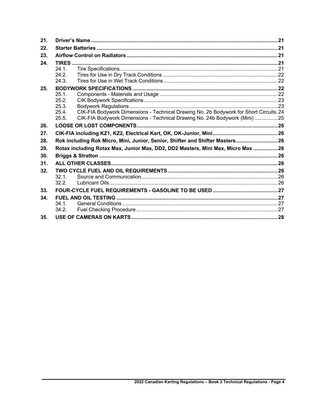| 21. |                                                                                                                                                                                                                  |  |
|-----|------------------------------------------------------------------------------------------------------------------------------------------------------------------------------------------------------------------|--|
| 22. |                                                                                                                                                                                                                  |  |
| 23. |                                                                                                                                                                                                                  |  |
| 24. | 24.1.<br>24.2.<br>24.3.                                                                                                                                                                                          |  |
| 25. | 25.1<br>25.2.<br>25.3.<br>CIK-FIA Bodywork Dimensions - Technical Drawing No. 2b Bodywork for Short Circuits. 24<br>25.4.<br>CIK-FIA Bodywork Dimensions - Technical Drawing No. 24b Bodywork (Mini) 25<br>25.5. |  |
| 26. |                                                                                                                                                                                                                  |  |
| 27. |                                                                                                                                                                                                                  |  |
| 28. | Rok including Rok Micro, Mini, Junior, Senior, Shifter and Shifter Masters 26                                                                                                                                    |  |
| 29. | Rotax including Rotax Max, Junior Max, DD2, DD2 Masters, Mini Max, Micro Max  26                                                                                                                                 |  |
| 30. |                                                                                                                                                                                                                  |  |
| 31. |                                                                                                                                                                                                                  |  |
| 32. | 32.1<br>32.2.                                                                                                                                                                                                    |  |
| 33. |                                                                                                                                                                                                                  |  |
| 34. | 34.1.<br>34.2.                                                                                                                                                                                                   |  |
| 35. |                                                                                                                                                                                                                  |  |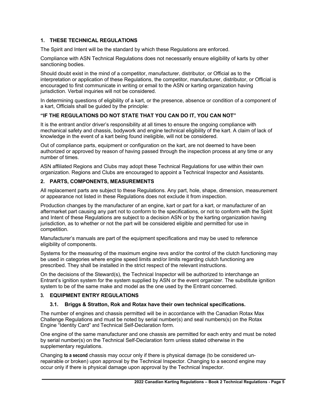#### **1. THESE TECHNICAL REGULATIONS**

The Spirit and Intent will be the standard by which these Regulations are enforced.

Compliance with ASN Technical Regulations does not necessarily ensure eligibility of karts by other sanctioning bodies.

Should doubt exist in the mind of a competitor, manufacturer, distributor, or Official as to the interpretation or application of these Regulations, the competitor, manufacturer, distributor, or Official is encouraged to first communicate in writing or email to the ASN or karting organization having jurisdiction. Verbal inquiries will not be considered.

In determining questions of eligibility of a kart, or the presence, absence or condition of a component of a kart, Officials shall be guided by the principle:

#### **"IF THE REGULATIONS DO NOT STATE THAT YOU CAN DO IT, YOU CAN NOT"**

It is the entrant and/or driver's responsibility at all times to ensure the ongoing compliance with mechanical safety and chassis, bodywork and engine technical eligibility of the kart. A claim of lack of knowledge in the event of a kart being found ineligible, will not be considered.

Out of compliance parts, equipment or configuration on the kart, are not deemed to have been authorized or approved by reason of having passed through the inspection process at any time or any number of times.

ASN affiliated Regions and Clubs may adopt these Technical Regulations for use within their own organization. Regions and Clubs are encouraged to appoint a Technical Inspector and Assistants.

#### **2. PARTS, COMPONENTS, MEASUREMENTS**

All replacement parts are subject to these Regulations. Any part, hole, shape, dimension, measurement or appearance not listed in these Regulations does not exclude it from inspection.

Production changes by the manufacturer of an engine, kart or part for a kart, or manufacturer of an aftermarket part causing any part not to conform to the specifications, or not to conform with the Spirit and Intent of these Regulations are subject to a decision ASN or by the karting organization having jurisdiction, as to whether or not the part will be considered eligible and permitted for use in competition.

Manufacturer's manuals are part of the equipment specifications and may be used to reference eligibility of components.

Systems for the measuring of the maximum engine revs and/or the control of the clutch functioning may be used in categories where engine speed limits and/or limits regarding clutch functioning are prescribed. They shall be installed in the strict respect of the relevant instructions.

On the decisions of the Steward(s), the Technical Inspector will be authorized to interchange an Entrant's ignition system for the system supplied by ASN or the event organizer. The substitute ignition system to be of the same make and model as the one used by the Entrant concerned.

#### **3. EQUIPMENT ENTRY REGULATIONS**

#### **3.1. Briggs & Stratton, Rok and Rotax have their own technical specifications.**

The number of engines and chassis permitted will be in accordance with the Canadian Rotax Max Challenge Regulations and must be noted by serial number(s) and seal numbers(s) on the Rotax Engine "Identity Card" and Technical Self-Declaration form.

One engine of the same manufacturer and one chassis are permitted for each entry and must be noted by serial number(s) on the Technical Self-Declaration form unless stated otherwise in the supplementary regulations.

Changing **to a second** chassis may occur only if there is physical damage (to be considered unrepairable or broken) upon approval by the Technical Inspector. Changing to a second engine may occur only if there is physical damage upon approval by the Technical Inspector.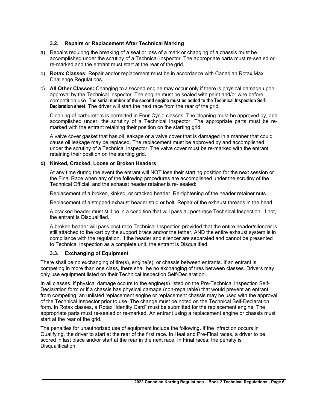#### **3.2. Repairs or Replacement After Technical Marking**

- a) Repairs requiring the breaking of a seal or loss of a mark or changing of a chassis must be accomplished under the scrutiny of a Technical Inspector. The appropriate parts must re-sealed or re-marked and the entrant must start at the rear of the grid.
- b) **Rotax Classes:** Repair and/or replacement must be in accordance with Canadian Rotax Max Challenge Regulations.
- c) **All Other Classes:** Changing to **a** second engine may occur only if there is physical damage upon approval by the Technical Inspector. The engine must be sealed with paint and/or wire before competition use. **The serial number of the second engine must be added to the Technical Inspection Self-Declaration sheet**. The driver will start the next race from the rear of the grid.

Cleaning of carburetors is permitted in Four-Cycle classes. The cleaning must be approved by, and accomplished under, the scrutiny of a Technical Inspector. The appropriate parts must be remarked with the entrant retaining their position on the starting grid.

A valve cover gasket that has oil leakage or a valve cover that is damaged in a manner that could cause oil leakage may be replaced. The replacement must be approved by and accomplished under the scrutiny of a Technical Inspector. The valve cover must be re-marked with the entrant retaining their position on the starting grid.

#### **d) Kinked, Cracked, Loose or Broken Headers**

At any time during the event the entrant will NOT lose their starting position for the next session or the Final Race when any of the following procedures are accomplished under the scrutiny of the Technical Official, and the exhaust header retainer is re- sealed:

Replacement of a broken, kinked, or cracked header. Re-tightening of the header retainer nuts.

Replacement of a stripped exhaust header stud or bolt. Repair of the exhaust threads in the head.

A cracked header must still be in a condition that will pass all post-race Technical Inspection. If not, the entrant is Disqualified.

A broken header will pass post-race Technical Inspection provided that the entire header/silencer is still attached to the kart by the support brace and/or the tether, AND the entire exhaust system is in compliance with the regulation. If the header and silencer are separated and cannot be presented to Technical Inspection as a complete unit, the entrant is Disqualified.

#### **3.3. Exchanging of Equipment**

There shall be no exchanging of tire(s), engine(s), or chassis between entrants. If an entrant is competing in more than one class, there shall be no exchanging of tires between classes. Drivers may only use equipment listed on their Technical Inspection Self-Declaration.

In all classes, if physical damage occurs to the engine(s) listed on the Pre-Technical Inspection Self-Declaration form or if a chassis has physical damage (non-repairable) that would prevent an entrant from competing, an unlisted replacement engine or replacement chassis may be used with the approval of the Technical Inspector prior to use. The change must be noted on the Technical Self-Declaration form. In Rotax classes, a Rotax "Identity Card" must be submitted for the replacement engine. The appropriate parts must re-sealed or re-marked. An entrant using a replacement engine or chassis must start at the rear of the grid.

The penalties for unauthorized use of equipment include the following. If the infraction occurs in Qualifying, the driver to start at the rear of the first race. In Heat and Pre-Final races, a driver to be scored in last place and/or start at the rear in the next race. In Final races, the penalty is Disqualification.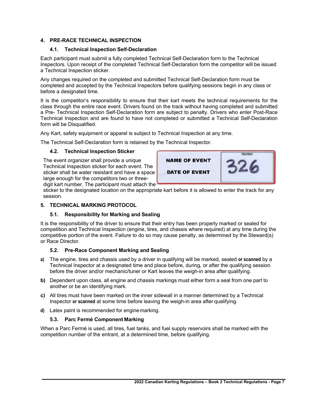#### **4. PRE-RACE TECHNICAL INSPECTION**

#### **4.1. Technical Inspection Self-Declaration**

Each participant must submit a fully completed Technical Self-Declaration form to the Technical Inspectors. Upon receipt of the completed Technical Self-Declaration form the competitor will be issued a Technical Inspection sticker.

Any changes required on the completed and submitted Technical Self-Declaration form must be completed and accepted by the Technical Inspectors before qualifying sessions begin in any class or before a designated time.

It is the competitor's responsibility to ensure that their kart meets the technical requirements for the class through the entire race event. Drivers found on the track without having completed and submitted a Pre- Technical Inspection Self-Declaration form are subject to penalty. Drivers who enter Post-Race Technical Inspection and are found to have not completed or submitted a Technical Self-Declaration form will be Disqualified.

Any Kart, safety equipment or apparel is subject to Technical Inspection at any time.

The Technical Self-Declaration form is retained by the Technical Inspector.

#### **4.2. Technical Inspection Sticker**

The event organizer shall provide a unique Technical Inspection sticker for each event. The sticker shall be water resistant and have a space large enough for the competitors two or threedigit kart number. The participant must attach the



sticker to the designated location on the appropriate kart before it is allowed to enter the track for any session.

### **5. TECHNICAL MARKING PROTOCOL**

# **5.1. Responsibility for Marking and Sealing**

It is the responsibility of the driver to ensure that their entry has been properly marked or sealed for competition and Technical Inspection (engine, tires, and chassis where required) at any time during the competitive portion of the event. Failure to do so may cause penalty, as determined by the Steward(s) or Race Director.

# **5.2. Pre-Race Component Marking and Sealing**

- **a)** The engine, tires and chassis used by a driver in qualifying will be marked, sealed **or scanned** by a Technical Inspector at a designated time and place before, during, or after the qualifying session before the driver and/or mechanic/tuner or Kart leaves the weigh-in area after qualifying.
- **b)** Dependent upon class, all engine and chassis markings must either form a seal from one part to another or be an identifying mark.
- **c)** All tires must have been marked on the inner sidewall in a manner determined by a Technical Inspector **or scanned** at some time before leaving the weigh-in area after qualifying.
- **d)** Latex paint is recommended for enginemarking.

# **5.3. Parc Fermé Component Marking**

When a Parc Fermé is used, all tires, fuel tanks, and fuel supply reservoirs shall be marked with the competition number of the entrant, at a determined time, before qualifying.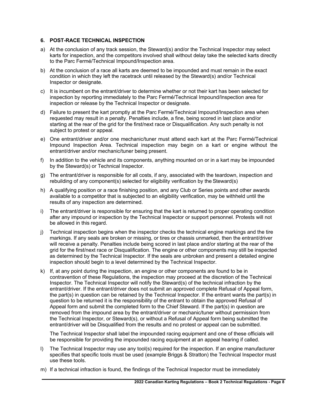#### **6. POST-RACE TECHNICAL INSPECTION**

- a) At the conclusion of any track session, the Steward(s) and/or the Technical Inspector may select karts for inspection, and the competitors involved shall without delay take the selected karts directly to the Parc Fermé/Technical Impound/Inspection area.
- b) At the conclusion of a race all karts are deemed to be impounded and must remain in the exact condition in which they left the racetrack until released by the Steward(s) and/or Technical Inspector or designate.
- c) It is incumbent on the entrant/driver to determine whether or not their kart has been selected for inspection by reporting immediately to the Parc Fermé/Technical Impound/Inspection area for inspection or release by the Technical Inspector or designate.
- d) Failure to present the kart promptly at the Parc Fermé/Technical Impound/Inspection area when requested may result in a penalty. Penalties include, a fine, being scored in last place and/or starting at the rear of the grid for the first/next race or Disqualification. Any such penalty is not subject to protest or appeal.
- e) One entrant/driver and/or one mechanic/tuner must attend each kart at the Parc Fermé/Technical Impound Inspection Area. Technical inspection may begin on a kart or engine without the entrant/driver and/or mechanic/tuner being present.
- f) In addition to the vehicle and its components, anything mounted on or in a kart may be impounded by the Steward(s) or Technical Inspector.
- g) The entrant/driver is responsible for all costs, if any, associated with the teardown, inspection and rebuilding of any component(s) selected for eligibility verification by the Steward(s)
- h) A qualifying position or a race finishing position, and any Club or Series points and other awards available to a competitor that is subjected to an eligibility verification, may be withheld until the results of any inspection are determined.
- i) The entrant/driver is responsible for ensuring that the kart is returned to proper operating condition after any impound or inspection by the Technical Inspector or support personnel. Protests will not be allowed in this regard.
- j) Technical inspection begins when the inspector checks the technical engine markings and the tire markings. If any seals are broken or missing, or tires or chassis unmarked, then the entrant/driver will receive a penalty. Penalties include being scored in last place and/or starting at the rear of the grid for the first/next race or Disqualification. The engine or other components may still be inspected as determined by the Technical Inspector. If the seals are unbroken and present a detailed engine inspection should begin to a level determined by the Technical Inspector.
- k) If, at any point during the inspection, an engine or other components are found to be in contravention of these Regulations, the inspection may proceed at the discretion of the Technical Inspector. The Technical Inspector will notify the Steward(s) of the technical infraction by the entrant/driver. If the entrant/driver does not submit an approved complete Refusal of Appeal form, the part(s) in question can be retained by the Technical Inspector. If the entrant wants the part(s) in question to be returned it is the responsibility of the entrant to obtain the approved Refusal of Appeal form and submit the completed form to the Chief Steward. If the part(s) in question are removed from the impound area by the entrant/driver or mechanic/tuner without permission from the Technical Inspector, or Steward(s), or without a Refusal of Appeal form being submitted the entrant/driver will be Disqualified from the results and no protest or appeal can be submitted.

The Technical Inspector shall label the impounded racing equipment and one of these officials will be responsible for providing the impounded racing equipment at an appeal hearing if called.

- l) The Technical Inspector may use any tool(s) required for the inspection. If an engine manufacturer specifies that specific tools must be used (example Briggs & Stratton) the Technical Inspector must use these tools.
- m) If a technical infraction is found, the findings of the Technical Inspector must be immediately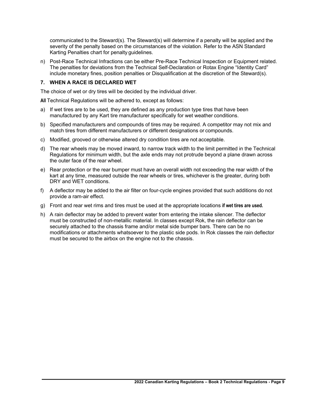communicated to the Steward(s). The Steward(s) will determine if a penalty will be applied and the severity of the penalty based on the circumstances of the violation. Refer to the ASN Standard Karting Penalties chart for penalty guidelines.

n) Post-Race Technical Infractions can be either Pre-Race Technical Inspection or Equipment related. The penalties for deviations from the Technical Self-Declaration or Rotax Engine "Identity Card" include monetary fines, position penalties or Disqualification at the discretion of the Steward(s).

#### **7. WHEN A RACE IS DECLARED WET**

The choice of wet or dry tires will be decided by the individual driver.

**All** Technical Regulations will be adhered to, except as follows:

- a) If wet tires are to be used, they are defined as any production type tires that have been manufactured by any Kart tire manufacturer specifically for wet weather conditions.
- b) Specified manufacturers and compounds of tires may be required. A competitor may not mix and match tires from different manufacturers or different designations or compounds.
- c) Modified, grooved or otherwise altered dry condition tires are not acceptable.
- d) The rear wheels may be moved inward, to narrow track width to the limit permitted in the Technical Regulations for minimum width, but the axle ends may not protrude beyond a plane drawn across the outer face of the rear wheel.
- e) Rear protection or the rear bumper must have an overall width not exceeding the rear width of the kart at any time, measured outside the rear wheels or tires, whichever is the greater, during both DRY and WET conditions.
- f) A deflector may be added to the air filter on four-cycle engines provided that such additions do not provide a ram-air effect.
- g) Front and rear wet rims and tires must be used at the appropriate locations **if wet tires are used.**
- h) A rain deflector may be added to prevent water from entering the intake silencer. The deflector must be constructed of non-metallic material. In classes except Rok, the rain deflector can be securely attached to the chassis frame and/or metal side bumper bars. There can be no modifications or attachments whatsoever to the plastic side pods. In Rok classes the rain deflector must be secured to the airbox on the engine not to the chassis.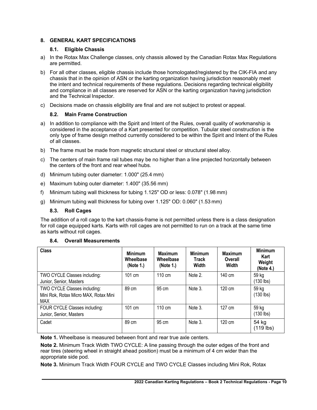### **8. GENERAL KART SPECIFICATIONS**

#### **8.1. Eligible Chassis**

- a) In the Rotax Max Challenge classes, only chassis allowed by the Canadian Rotax Max Regulations are permitted.
- b) For all other classes, eligible chassis include those homologated/registered by the CIK-FIA and any chassis that in the opinion of ASN or the karting organization having jurisdiction reasonably meet the intent and technical requirements of these regulations. Decisions regarding technical eligibility and compliance in all classes are reserved for ASN or the karting organization having jurisdiction and the Technical Inspector.
- c) Decisions made on chassis eligibility are final and are not subject to protest or appeal.

# **8.2. Main Frame Construction**

- a) In addition to compliance with the Spirit and Intent of the Rules, overall quality of workmanship is considered in the acceptance of a Kart presented for competition. Tubular steel construction is the only type of frame design method currently considered to be within the Spirit and Intent of the Rules of all classes.
- b) The frame must be made from magnetic structural steel or structural steel alloy.
- c) The centers of main frame rail tubes may be no higher than a line projected horizontally between the centers of the front and rear wheel hubs.
- d) Minimum tubing outer diameter: 1.000" (25.4 mm)
- e) Maximum tubing outer diameter: 1.400" (35.56 mm)
- f) Minimum tubing wall thickness for tubing 1.125" OD or less: 0.078" (1.98 mm)
- g) Minimum tubing wall thickness for tubing over 1.125" OD: 0.060" (1.53 mm)

# **8.3. Roll Cages**

The addition of a roll cage to the kart chassis-frame is not permitted unless there is a class designation for roll cage equipped karts. Karts with roll cages are not permitted to run on a track at the same time as karts without roll cages.

#### **8.4. Overall Measurements**

| Class                                                                               | <b>Minimum</b><br>Wheelbase<br>(Note 1.) | <b>Maximum</b><br>Wheelbase<br>(Note 1.) | <b>Minimum</b><br><b>Track</b><br>Width | <b>Maximum</b><br>Overall<br>Width | <b>Minimum</b><br>Kart<br>Weight<br>(Note 4.) |
|-------------------------------------------------------------------------------------|------------------------------------------|------------------------------------------|-----------------------------------------|------------------------------------|-----------------------------------------------|
| TWO CYCLE Classes including:<br>Junior, Senior, Masters                             | 101 cm                                   | $110 \text{ cm}$                         | Note 2.                                 | 140 cm                             | 59 kg<br>(130 lbs)                            |
| TWO CYCLE Classes including:<br>Mini Rok, Rotax Micro MAX, Rotax Mini<br><b>MAX</b> | 89 cm                                    | 95 cm                                    | Note 3.                                 | 120 cm                             | 59 kg<br>(130 lbs)                            |
| FOUR CYCLE Classes including:<br>Junior, Senior, Masters                            | 101 cm                                   | $110 \text{ cm}$                         | Note 3.                                 | 127 cm                             | 59 kg<br>(130 lbs)                            |
| Cadet                                                                               | 89 cm                                    | 95 cm                                    | Note 3.                                 | 120 cm                             | 54 kg<br>(119 lbs)                            |

**Note 1.** Wheelbase is measured between front and rear true axle centers.

**Note 2.** Minimum Track Width TWO CYCLE: A line passing through the outer edges of the front and rear tires (steering wheel in straight ahead position) must be a minimum of 4 cm wider than the appropriate side pod.

**Note 3.** Minimum Track Width FOUR CYCLE and TWO CYCLE Classes including Mini Rok, Rotax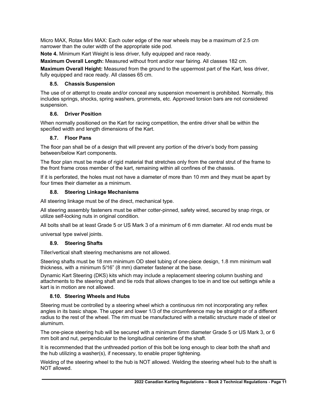Micro MAX, Rotax Mini MAX: Each outer edge of the rear wheels may be a maximum of 2.5 cm narrower than the outer width of the appropriate side pod.

**Note 4.** Minimum Kart Weight is less driver, fully equipped and race ready.

**Maximum Overall Length:** Measured without front and/or rear fairing. All classes 182 cm.

**Maximum Overall Height:** Measured from the ground to the uppermost part of the Kart, less driver, fully equipped and race ready. All classes 65 cm.

#### **8.5. Chassis Suspension**

The use of or attempt to create and/or conceal any suspension movement is prohibited. Normally, this includes springs, shocks, spring washers, grommets, etc. Approved torsion bars are not considered suspension.

#### **8.6. Driver Position**

When normally positioned on the Kart for racing competition, the entire driver shall be within the specified width and length dimensions of the Kart.

#### **8.7. Floor Pans**

The floor pan shall be of a design that will prevent any portion of the driver's body from passing between/below Kart components.

The floor plan must be made of rigid material that stretches only from the central strut of the frame to the front frame cross member of the kart, remaining within all confines of the chassis.

If it is perforated, the holes must not have a diameter of more than 10 mm and they must be apart by four times their diameter as a minimum.

#### **8.8. Steering Linkage Mechanisms**

All steering linkage must be of the direct, mechanical type.

All steering assembly fasteners must be either cotter-pinned, safety wired, secured by snap rings, or utilize self-locking nuts in original condition.

All bolts shall be at least Grade 5 or US Mark 3 of a minimum of 6 mm diameter. All rod ends must be

universal type swivel joints.

#### **8.9. Steering Shafts**

Tiller/vertical shaft steering mechanisms are not allowed.

Steering shafts must be 18 mm minimum OD steel tubing of one-piece design, 1.8 mm minimum wall thickness, with a minimum 5/16" (8 mm) diameter fastener at the base.

Dynamic Kart Steering (DKS) kits which may include a replacement steering column bushing and attachments to the steering shaft and tie rods that allows changes to toe in and toe out settings while a kart is in motion are not allowed.

#### **8.10. Steering Wheels and Hubs**

Steering must be controlled by a steering wheel which a continuous rim not incorporating any reflex angles in its basic shape. The upper and lower 1/3 of the circumference may be straight or of a different radius to the rest of the wheel. The rim must be manufactured with a metallic structure made of steel or aluminum.

The one-piece steering hub will be secured with a minimum 6mm diameter Grade 5 or US Mark 3, or 6 mm bolt and nut, perpendicular to the longitudinal centerline of the shaft.

It is recommended that the unthreaded portion of this bolt be long enough to clear both the shaft and the hub utilizing a washer(s), if necessary, to enable proper tightening.

Welding of the steering wheel to the hub is NOT allowed. Welding the steering wheel hub to the shaft is NOT allowed.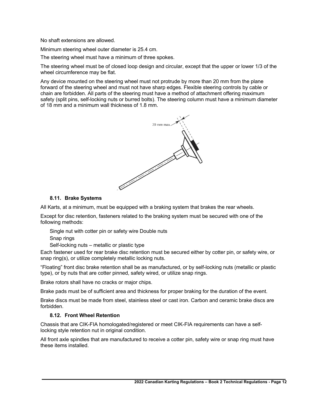No shaft extensions are allowed.

Minimum steering wheel outer diameter is 25.4 cm.

The steering wheel must have a minimum of three spokes.

The steering wheel must be of closed loop design and circular, except that the upper or lower 1/3 of the wheel circumference may be flat.

Any device mounted on the steering wheel must not protrude by more than 20 mm from the plane forward of the steering wheel and must not have sharp edges. Flexible steering controls by cable or chain are forbidden. All parts of the steering must have a method of attachment offering maximum safety (split pins, self-locking nuts or burred bolts). The steering column must have a minimum diameter of 18 mm and a minimum wall thickness of 1.8 mm.



#### **8.11. Brake Systems**

All Karts, at a minimum, must be equipped with a braking system that brakes the rear wheels.

Except for disc retention, fasteners related to the braking system must be secured with one of the following methods:

Single nut with cotter pin or safety wire Double nuts Snap rings

Self-locking nuts – metallic or plastic type

Each fastener used for rear brake disc retention must be secured either by cotter pin, or safety wire, or snap ring(s), or utilize completely metallic locking nuts.

"Floating" front disc brake retention shall be as manufactured, or by self-locking nuts (metallic or plastic type), or by nuts that are cotter pinned, safety wired, or utilize snap rings.

Brake rotors shall have no cracks or major chips.

Brake pads must be of sufficient area and thickness for proper braking for the duration of the event.

Brake discs must be made from steel, stainless steel or cast iron. Carbon and ceramic brake discs are forbidden.

#### **8.12. Front Wheel Retention**

Chassis that are CIK-FIA homologated/registered or meet CIK-FIA requirements can have a selflocking style retention nut in original condition.

All front axle spindles that are manufactured to receive a cotter pin, safety wire or snap ring must have these items installed.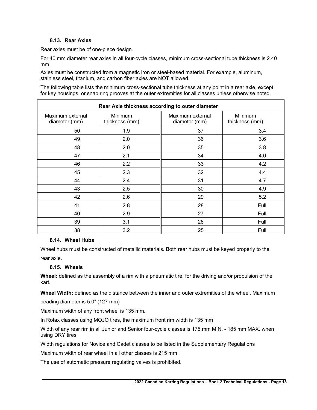#### **8.13. Rear Axles**

Rear axles must be of one-piece design.

For 40 mm diameter rear axles in all four-cycle classes, minimum cross-sectional tube thickness is 2.40 mm.

Axles must be constructed from a magnetic iron or steel-based material. For example, aluminum, stainless steel, titanium, and carbon fiber axles are NOT allowed.

The following table lists the minimum cross-sectional tube thickness at any point in a rear axle, except for key housings, or snap ring grooves at the outer extremities for all classes unless otherwise noted.

| Rear Axle thickness according to outer diameter |                           |                                   |                           |  |
|-------------------------------------------------|---------------------------|-----------------------------------|---------------------------|--|
| Maximum external<br>diameter (mm)               | Minimum<br>thickness (mm) | Maximum external<br>diameter (mm) | Minimum<br>thickness (mm) |  |
| 50                                              | 1.9                       | 37                                | 3.4                       |  |
| 49                                              | 2.0                       | 36                                | 3.6                       |  |
| 48                                              | 2.0                       | 35                                | 3.8                       |  |
| 47                                              | 2.1                       | 34                                | 4.0                       |  |
| 46                                              | 2.2                       | 33                                | 4.2                       |  |
| 45                                              | 2.3                       | 32                                | 4.4                       |  |
| 44                                              | 2.4                       | 31                                | 4.7                       |  |
| 43                                              | 2.5                       | 30                                | 4.9                       |  |
| 42                                              | 2.6                       | 29                                | 5.2                       |  |
| 41                                              | 2.8                       | 28                                | Full                      |  |
| 40                                              | 2.9                       | 27                                | Full                      |  |
| 39                                              | 3.1                       | 26                                | Full                      |  |
| 38                                              | 3.2                       | 25                                | Full                      |  |

#### **8.14. Wheel Hubs**

Wheel hubs must be constructed of metallic materials. Both rear hubs must be keyed properly to the rear axle.

#### **8.15. Wheels**

**Wheel:** defined as the assembly of a rim with a pneumatic tire, for the driving and/or propulsion of the kart.

**Wheel Width:** defined as the distance between the inner and outer extremities of the wheel. Maximum

beading diameter is 5.0" (127 mm)

Maximum width of any front wheel is 135 mm.

In Rotax classes using MOJO tires, the maximum front rim width is 135 mm

Width of any rear rim in all Junior and Senior four-cycle classes is 175 mm MIN. - 185 mm MAX. when using DRY tires

Width regulations for Novice and Cadet classes to be listed in the Supplementary Regulations

Maximum width of rear wheel in all other classes is 215 mm

The use of automatic pressure regulating valves is prohibited.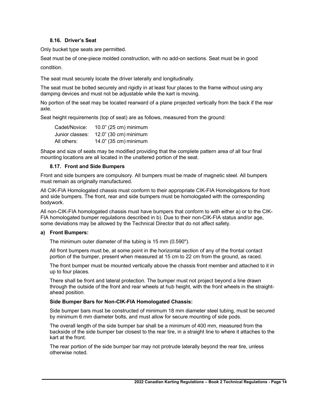#### **8.16. Driver's Seat**

Only bucket type seats are permitted.

Seat must be of one-piece molded construction, with no add-on sections. Seat must be in good

condition.

The seat must securely locate the driver laterally and longitudinally.

The seat must be bolted securely and rigidly in at least four places to the frame without using any damping devices and must not be adjustable while the kart is moving.

No portion of the seat may be located rearward of a plane projected vertically from the back if the rear axle.

Seat height requirements (top of seat) are as follows, measured from the ground:

| Cadet/Novice:   | 10.0" (25 cm) minimum |
|-----------------|-----------------------|
| Junior classes: | 12.0" (30 cm) minimum |
| All others:     | 14.0" (35 cm) minimum |

Shape and size of seats may be modified providing that the complete pattern area of all four final mounting locations are all located in the unaltered portion of the seat.

#### **8.17. Front and Side Bumpers**

Front and side bumpers are compulsory. All bumpers must be made of magnetic steel. All bumpers must remain as originally manufactured.

All CIK-FIA Homologated chassis must conform to their appropriate CIK-FIA Homologations for front and side bumpers. The front, rear and side bumpers must be homologated with the corresponding bodywork.

All non-CIK-FIA homologated chassis must have bumpers that conform to with either a) or to the CIK-FIA homologated bumper regulations described in b). Due to their non-CIK-FIA status and/or age, some deviations may be allowed by the Technical Director that do not affect safety.

#### **a) Front Bumpers:**

The minimum outer diameter of the tubing is 15 mm (0.590").

All front bumpers must be, at some point in the horizontal section of any of the frontal contact portion of the bumper, present when measured at 15 cm to 22 cm from the ground, as raced.

The front bumper must be mounted vertically above the chassis front member and attached to it in up to four places.

There shall be front and lateral protection. The bumper must not project beyond a line drawn through the outside of the front and rear wheels at hub height, with the front wheels in the straightahead position.

#### **Side Bumper Bars for Non-CIK-FIA Homologated Chassis:**

Side bumper bars must be constructed of minimum 18 mm diameter steel tubing, must be secured by minimum 6 mm diameter bolts, and must allow for secure mounting of side pods.

The overall length of the side bumper bar shall be a minimum of 400 mm, measured from the backside of the side bumper bar closest to the rear tire, in a straight line to where it attaches to the kart at the front.

The rear portion of the side bumper bar may not protrude laterally beyond the rear tire, unless otherwise noted.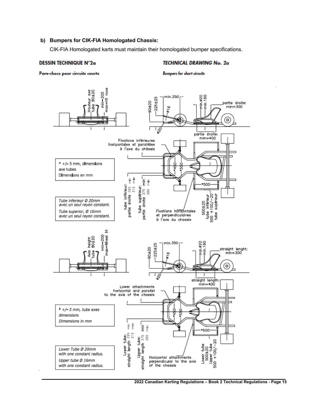#### **b) Bumpers for CIK-FIA Homologated Chassis:**

CIK-FIA Homologated karts must maintain their homologated bumper specifications.

#### **DESSIN TECHNIQUE N°2a**

#### **TECHNICAL DRAWING No. 2a**

Pare-chocs pour circuits courts

**Bumpers for short circuits** 

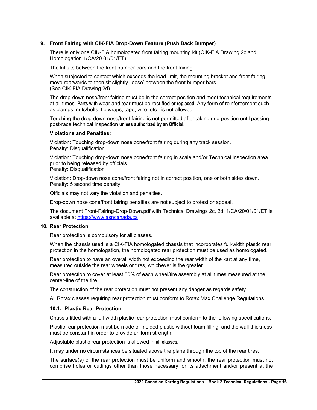#### **9. Front Fairing with CIK-FIA Drop-Down Feature (Push Back Bumper)**

There is only one CIK-FIA homologated front fairing mounting kit (CIK-FIA Drawing 2c and Homologation 1/CA/20 01/01/ET)

The kit sits between the front bumper bars and the front fairing.

When subjected to contact which exceeds the load limit, the mounting bracket and front fairing move rearwards to then sit slightly 'loose' between the front bumper bars. (See CIK-FIA Drawing 2d)

The drop-down nose/front fairing must be in the correct position and meet technical requirements at all times. **Parts with** wear and tear must be rectified **or replaced**. Any form of reinforcement such as clamps, nuts/bolts, tie wraps, tape, wire, etc., is not allowed.

Touching the drop-down nose/front fairing is not permitted after taking grid position until passing post-race technical inspection **unless authorized by an Official.**

#### **Violations and Penalties:**

Violation: Touching drop-down nose cone/front fairing during any track session. Penalty: Disqualification

Violation: Touching drop-down nose cone/front fairing in scale and/or Technical Inspection area prior to being released by officials.

Penalty: Disqualification

Violation: Drop-down nose cone/front fairing not in correct position, one or both sides down. Penalty: 5 second time penalty.

Officials may not vary the violation and penalties.

Drop-down nose cone/front fairing penalties are not subject to protest or appeal.

The document Front-Fairing-Drop-Down.pdf with Technical Drawings 2c, 2d, 1/CA/20/01/01/ET is available at https://www.asncanada.ca

#### **10. Rear Protection**

Rear protection is compulsory for all classes.

When the chassis used is a CIK-FIA homologated chassis that incorporates full-width plastic rear protection in the homologation, the homologated rear protection must be used as homologated.

Rear protection to have an overall width not exceeding the rear width of the kart at any time, measured outside the rear wheels or tires, whichever is the greater.

Rear protection to cover at least 50% of each wheel/tire assembly at all times measured at the center-line of the tire.

The construction of the rear protection must not present any danger as regards safety.

All Rotax classes requiring rear protection must conform to Rotax Max Challenge Regulations.

#### **10.1. Plastic Rear Protection**

Chassis fitted with a full-width plastic rear protection must conform to the following specifications:

Plastic rear protection must be made of molded plastic without foam filling, and the wall thickness must be constant in order to provide uniform strength.

Adjustable plastic rear protection is allowed in **all classes.**

It may under no circumstances be situated above the plane through the top of the rear tires.

The surface(s) of the rear protection must be uniform and smooth; the rear protection must not comprise holes or cuttings other than those necessary for its attachment and/or present at the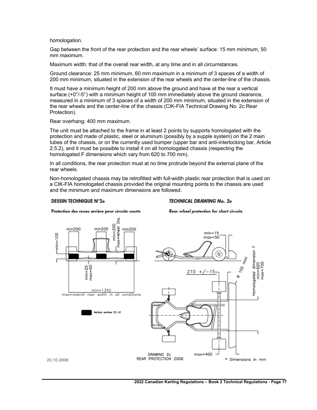homologation.

Gap between the front of the rear protection and the rear wheels' surface: 15 mm minimum, 50 mm maximum.

Maximum width: that of the overall rear width, at any time and in all circumstances.

Ground clearance: 25 mm minimum, 60 mm maximum in a minimum of 3 spaces of a width of 200 mm minimum, situated in the extension of the rear wheels and the center-line of the chassis.

It must have a minimum height of 200 mm above the ground and have at the rear a vertical surface (+0°/-5°) with a minimum height of 100 mm immediately above the ground clearance, measured in a minimum of 3 spaces of a width of 200 mm minimum, situated in the extension of the rear wheels and the center-line of the chassis (CIK-FIA Technical Drawing No. 2c Rear Protection).

Rear overhang: 400 mm maximum.

The unit must be attached to the frame in at least 2 points by supports homologated with the protection and made of plastic, steel or aluminum (possibly by a supple system) on the 2 main tubes of the chassis, or on the currently used bumper (upper bar and anti-interlocking bar, Article 2.5.2), and it must be possible to install it on all homologated chassis (respecting the homologated F dimensions which vary from 620 to 700 mm).

In all conditions, the rear protection must at no time protrude beyond the external plane of the rear wheels.

Non-homologated chassis may be retrofitted with full-width plastic rear protection that is used on a CIK-FIA homologated chassis provided the original mounting points to the chassis are used and the minimum and maximum dimensions are followed.

#### **DESSIN TECHNIQUE N°2e**

#### **TECHNICAL DRAWING No. 2e**

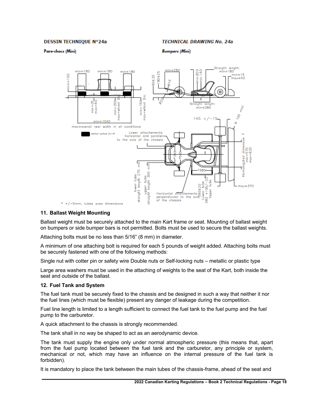#### **DESSIN TECHNIQUE Nº24a**

#### **TECHNICAL DRAWING No. 24a**

#### Pare-chocs (Mini)

**Bumpers (Mini)** 



#### **11. Ballast Weight Mounting**

Ballast weight must be securely attached to the main Kart frame or seat. Mounting of ballast weight on bumpers or side bumper bars is not permitted. Bolts must be used to secure the ballast weights.

Attaching bolts must be no less than 5/16" (8 mm) in diameter.

A minimum of one attaching bolt is required for each 5 pounds of weight added. Attaching bolts must be securely fastened with one of the following methods:

Single nut with cotter pin or safety wire Double nuts or Self-locking nuts – metallic or plastic type

Large area washers must be used in the attaching of weights to the seat of the Kart, both inside the seat and outside of the ballast.

#### **12. Fuel Tank and System**

The fuel tank must be securely fixed to the chassis and be designed in such a way that neither it nor the fuel lines (which must be flexible) present any danger of leakage during the competition.

Fuel line length is limited to a length sufficient to connect the fuel tank to the fuel pump and the fuel pump to the carburetor.

A quick attachment to the chassis is strongly recommended.

The tank shall in no way be shaped to act as an aerodynamic device.

The tank must supply the engine only under normal atmospheric pressure (this means that, apart from the fuel pump located between the fuel tank and the carburetor, any principle or system, mechanical or not, which may have an influence on the internal pressure of the fuel tank is forbidden).

It is mandatory to place the tank between the main tubes of the chassis-frame, ahead of the seat and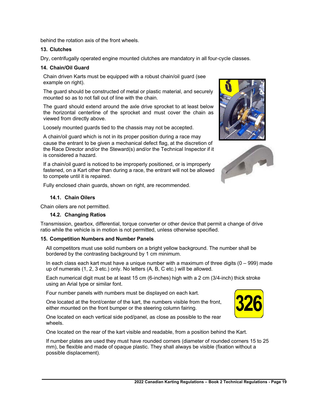behind the rotation axis of the front wheels.

#### **13. Clutches**

Dry, centrifugally operated engine mounted clutches are mandatory in all four-cycle classes.

#### **14. Chain/Oil Guard**

Chain driven Karts must be equipped with a robust chain/oil guard (see example on right).

The guard should be constructed of metal or plastic material, and securely mounted so as to not fall out of line with the chain.

The guard should extend around the axle drive sprocket to at least below the horizontal centerline of the sprocket and must cover the chain as viewed from directly above.

Loosely mounted guards tied to the chassis may not be accepted.

A chain/oil guard which is not in its proper position during a race may cause the entrant to be given a mechanical defect flag, at the discretion of the Race Director and/or the Steward(s) and/or the Technical Inspector if it is considered a hazard.

If a chain/oil guard is noticed to be improperly positioned, or is improperly fastened, on a Kart other than during a race, the entrant will not be allowed to compete until it is repaired.

Fully enclosed chain guards, shown on right, are recommended.

#### **14.1. Chain Oilers**

Chain oilers are not permitted.

#### **14.2. Changing Ratios**

Transmission, gearbox, differential, torque converter or other device that permit a change of drive ratio while the vehicle is in motion is not permitted, unless otherwise specified.

#### **15. Competition Numbers and Number Panels**

All competitors must use solid numbers on a bright yellow background. The number shall be bordered by the contrasting background by 1 cm minimum.

In each class each kart must have a unique number with a maximum of three digits  $(0 - 999)$  made up of numerals (1, 2, 3 etc.) only. No letters (A, B, C etc.) will be allowed.

Each numerical digit must be at least 15 cm (6-inches) high with a 2 cm (3/4-inch) thick stroke using an Arial type or similar font.

Four number panels with numbers must be displayed on each kart.

One located at the front/center of the kart, the numbers visible from the front, either mounted on the front bumper or the steering column fairing.

One located on each vertical side pod/panel, as close as possible to the rear wheels.

One located on the rear of the kart visible and readable, from a position behind the Kart.

If number plates are used they must have rounded corners (diameter of rounded corners 15 to 25 mm), be flexible and made of opaque plastic. They shall always be visible (fixation without a possible displacement).





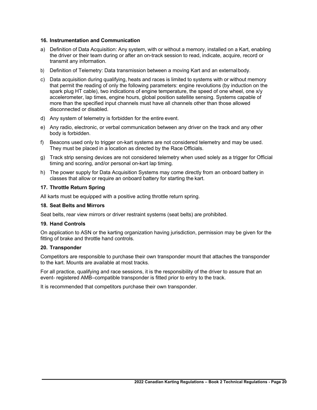#### **16. Instrumentation and Communication**

- a) Definition of Data Acquisition: Any system, with or without a memory, installed on a Kart, enabling the driver or their team during or after an on-track session to read, indicate, acquire, record or transmit any information.
- b) Definition of Telemetry: Data transmission between a moving Kart and an externalbody.
- c) Data acquisition during qualifying, heats and races is limited to systems with or without memory that permit the reading of only the following parameters: engine revolutions (by induction on the spark plug HT cable), two indications of engine temperature, the speed of one wheel, one x/y accelerometer, lap times, engine hours, global position satellite sensing. Systems capable of more than the specified input channels must have all channels other than those allowed disconnected or disabled.
- d) Any system of telemetry is forbidden for the entire event.
- e) Any radio, electronic, or verbal communication between any driver on the track and any other body is forbidden.
- f) Beacons used only to trigger on-kart systems are not considered telemetry and may be used. They must be placed in a location as directed by the Race Officials.
- g) Track strip sensing devices are not considered telemetry when used solely as a trigger for Official timing and scoring, and/or personal on-kart lap timing.
- h) The power supply for Data Acquisition Systems may come directly from an onboard battery in classes that allow or require an onboard battery for starting the kart.

#### **17. Throttle Return Spring**

All karts must be equipped with a positive acting throttle return spring.

#### **18. Seat Belts and Mirrors**

Seat belts, rear view mirrors or driver restraint systems (seat belts) are prohibited.

#### **19. Hand Controls**

On application to ASN or the karting organization having jurisdiction, permission may be given for the fitting of brake and throttle hand controls.

#### **20. Transponder**

Competitors are responsible to purchase their own transponder mount that attaches the transponder to the kart. Mounts are available at most tracks.

For all practice, qualifying and race sessions, it is the responsibility of the driver to assure that an event- registered AMB–compatible transponder is fitted prior to entry to the track.

It is recommended that competitors purchase their own transponder.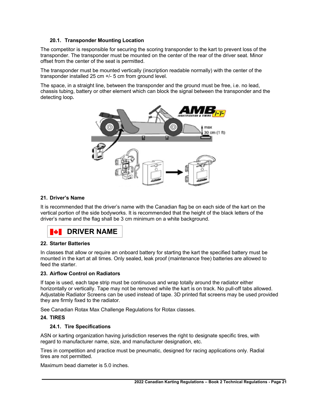#### **20.1. Transponder Mounting Location**

The competitor is responsible for securing the scoring transponder to the kart to prevent loss of the transponder. The transponder must be mounted on the center of the rear of the driver seat. Minor offset from the center of the seat is permitted.

The transponder must be mounted vertically (inscription readable normally) with the center of the transponder installed 25 cm +/- 5 cm from ground level.

The space, in a straight line, between the transponder and the ground must be free, i.e. no lead, chassis tubing, battery or other element which can block the signal between the transponder and the detecting loop**.**



#### **21. Driver's Name**

It is recommended that the driver's name with the Canadian flag be on each side of the kart on the vertical portion of the side bodyworks. It is recommended that the height of the black letters of the driver's name and the flag shall be 3 cm minimum on a white background.



#### **22. Starter Batteries**

In classes that allow or require an onboard battery for starting the kart the specified battery must be mounted in the kart at all times. Only sealed, leak proof (maintenance free) batteries are allowed to feed the starter.

#### **23. Airflow Control on Radiators**

If tape is used, each tape strip must be continuous and wrap totally around the radiator either horizontally or vertically. Tape may not be removed while the kart is on track. No pull-off tabs allowed. Adjustable Radiator Screens can be used instead of tape. 3D printed flat screens may be used provided they are firmly fixed to the radiator.

See Canadian Rotax Max Challenge Regulations for Rotax classes.

#### **24. TIRES**

#### **24.1. Tire Specifications**

ASN or karting organization having jurisdiction reserves the right to designate specific tires, with regard to manufacturer name, size, and manufacturer designation, etc.

Tires in competition and practice must be pneumatic, designed for racing applications only. Radial tires are not permitted.

Maximum bead diameter is 5.0 inches.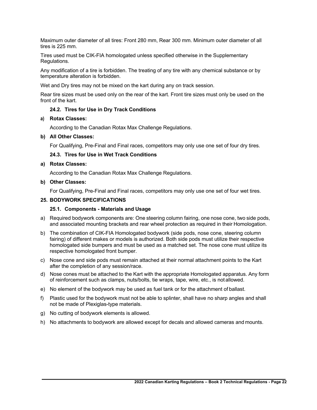Maximum outer diameter of all tires: Front 280 mm, Rear 300 mm. Minimum outer diameter of all tires is 225 mm.

Tires used must be CIK-FIA homologated unless specified otherwise in the Supplementary Regulations.

Any modification of a tire is forbidden. The treating of any tire with any chemical substance or by temperature alteration is forbidden.

Wet and Dry tires may not be mixed on the kart during any on track session.

Rear tire sizes must be used only on the rear of the kart. Front tire sizes must only be used on the front of the kart.

#### **24.2. Tires for Use in Dry Track Conditions**

#### **a) Rotax Classes:**

According to the Canadian Rotax Max Challenge Regulations.

#### **b) All Other Classes:**

For Qualifying, Pre-Final and Final races, competitors may only use one set of four dry tires.

#### **24.3. Tires for Use in Wet Track Conditions**

#### **a) Rotax Classes:**

According to the Canadian Rotax Max Challenge Regulations.

#### **b) Other Classes:**

For Qualifying, Pre-Final and Final races, competitors may only use one set of four wet tires.

#### **25. BODYWORK SPECIFICATIONS**

#### **25.1. Components - Materials and Usage**

- a) Required bodywork components are: One steering column fairing, one nose cone, two side pods, and associated mounting brackets and rear wheel protection as required in their Homologation.
- b) The combination of CIK-FIA Homologated bodywork (side pods, nose cone, steering column fairing) of different makes or models is authorized. Both side pods must utilize their respective homologated side bumpers and must be used as a matched set. The nose cone must utilize its respective homologated front bumper.
- c) Nose cone and side pods must remain attached at their normal attachment points to the Kart after the completion of any session/race.
- d) Nose cones must be attached to the Kart with the appropriate Homologated apparatus. Any form of reinforcement such as clamps, nuts/bolts, tie wraps, tape, wire, etc., is not allowed.
- e) No element of the bodywork may be used as fuel tank or for the attachment of ballast.
- f) Plastic used for the bodywork must not be able to splinter, shall have no sharp angles and shall not be made of Plexiglas-type materials.
- g) No cutting of bodywork elements is allowed.
- h) No attachments to bodywork are allowed except for decals and allowed cameras and mounts.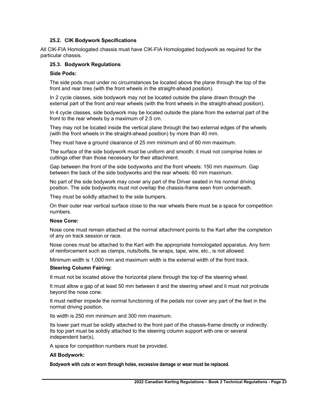#### **25.2. CIK Bodywork Specifications**

All CIK-FIA Homologated chassis must have CIK-FIA Homologated bodywork as required for the particular chassis.

#### **25.3. Bodywork Regulations**

#### **Side Pods:**

The side pods must under no circumstances be located above the plane through the top of the front and rear tires (with the front wheels in the straight-ahead position).

In 2 cycle classes, side bodywork may not be located outside the plane drawn through the external part of the front and rear wheels (with the front wheels in the straight-ahead position).

In 4 cycle classes, side bodywork may be located outside the plane from the external part of the front to the rear wheels by a maximum of 2.5 cm.

They may not be located inside the vertical plane through the two external edges of the wheels (with the front wheels in the straight-ahead position) by more than 40 mm.

They must have a ground clearance of 25 mm minimum and of 60 mm maximum.

The surface of the side bodywork must be uniform and smooth; it must not comprise holes or cuttings other than those necessary for their attachment.

Gap between the front of the side bodyworks and the front wheels: 150 mm maximum. Gap between the back of the side bodyworks and the rear wheels: 60 mm maximum.

No part of the side bodywork may cover any part of the Driver seated in his normal driving position. The side bodyworks must not overlap the chassis-frame seen from underneath.

They must be solidly attached to the side bumpers.

On their outer rear vertical surface close to the rear wheels there must be a space for competition numbers.

#### **Nose Cone:**

Nose cone must remain attached at the normal attachment points to the Kart after the completion of any on track session or race.

Nose cones must be attached to the Kart with the appropriate homologated apparatus. Any form of reinforcement such as clamps, nuts/bolts, tie wraps, tape, wire, etc., is not allowed.

Minimum width is 1,000 mm and maximum width is the external width of the front track.

#### **Steering Column Fairing:**

It must not be located above the horizontal plane through the top of the steering wheel.

It must allow a gap of at least 50 mm between it and the steering wheel and it must not protrude beyond the nose cone.

It must neither impede the normal functioning of the pedals nor cover any part of the feet in the normal driving position.

Its width is 250 mm minimum and 300 mm maximum.

Its lower part must be solidly attached to the front part of the chassis-frame directly or indirectly. Its top part must be solidly attached to the steering column support with one or several independent bar(s).

A space for competition numbers must be provided.

#### **All Bodywork:**

**Bodywork with cuts or worn through holes, excessive damage or wear must be replaced.**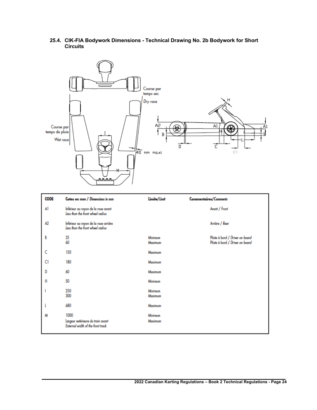

#### **25.4. CIK-FIA Bodywork Dimensions - Technical Drawing No. 2b Bodywork for Short Circuits**

| <b>CODE</b> | Cotes en mm / Dimensions in mm                                                 | Limite/Limit              | <b>Commentaires/Comments</b>                                       |
|-------------|--------------------------------------------------------------------------------|---------------------------|--------------------------------------------------------------------|
| Al          | Inférieur au rayon de la roue avant<br>Less than the front wheel radius        |                           | Avant / Front                                                      |
| A2          | Inférieur au rayon de la roue arrière<br>Less than the front wheel radius      |                           | Arrière / Rear                                                     |
| B           | 25<br>60                                                                       | <b>Minimum</b><br>Maximum | Pilote à bord / Driver on board<br>Pilote à bord / Driver on board |
| c           | 150                                                                            | Maximum                   |                                                                    |
| C1          | 180                                                                            | Maximum                   |                                                                    |
| D           | 60                                                                             | <b>Maximum</b>            |                                                                    |
| н           | 50                                                                             | Minimum                   |                                                                    |
|             | 250<br>300                                                                     | Minimum<br>Maximum        |                                                                    |
|             | 680                                                                            | Maximum                   |                                                                    |
| м           | 1000<br>Largeur extérieure du train avant<br>External width of the front track | Minimum<br>Maximum        |                                                                    |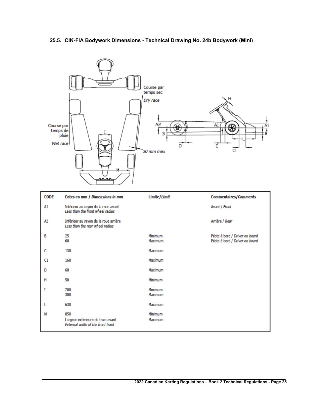#### **25.5. CIK-FIA Bodywork Dimensions - Technical Drawing No. 24b Bodywork (Mini)**

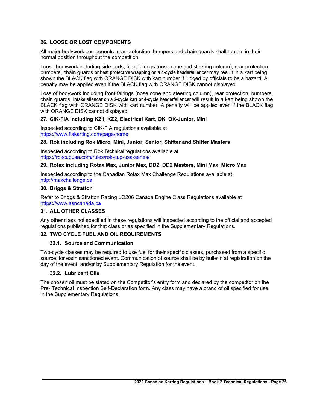#### **26. LOOSE OR LOST COMPONENTS**

All major bodywork components, rear protection, bumpers and chain guards shall remain in their normal position throughout the competition.

Loose bodywork including side pods, front fairings (nose cone and steering column), rear protection, bumpers, chain guards **or heat protective wrapping on a 4-cycle header/silencer** may result in a kart being shown the BLACK flag with ORANGE DISK with kart number if judged by officials to be a hazard. A penalty may be applied even if the BLACK flag with ORANGE DISK cannot displayed.

Loss of bodywork including front fairings (nose cone and steering column), rear protection, bumpers, chain guards, **intake silencer on a 2-cycle kart or 4-cycle header/silencer** will result in a kart being shown the BLACK flag with ORANGE DISK with kart number. A penalty will be applied even if the BLACK flag with ORANGE DISK cannot displayed.

#### **27. CIK-FIA including KZ1, KZ2, Electrical Kart, OK, OK-Junior, Mini**

Inspected according to CIK-FIA regulations available at https://www.fiakarting.com/page/home

#### **28. Rok including Rok Micro, Mini, Junior, Senior, Shifter and Shifter Masters**

Inspected according to Rok **Technical** regulations available at https://rokcupusa.com/rules/rok-cup-usa-series/

#### **29. Rotax including Rotax Max, Junior Max, DD2, DD2 Masters, Mini Max, Micro Max**

Inspected according to the Canadian Rotax Max Challenge Regulations available at http://maxchallenge.ca

#### **30. Briggs & Stratton**

Refer to Briggs & Stratton Racing LO206 Canada Engine Class Regulations available at https://www.asncanada.ca

#### **31. ALL OTHER CLASSES**

Any other class not specified in these regulations will inspected according to the official and accepted regulations published for that class or as specified in the Supplementary Regulations.

# **32. TWO CYCLE FUEL AND OIL REQUIREMENTS**

#### **32.1. Source and Communication**

Two-cycle classes may be required to use fuel for their specific classes, purchased from a specific source, for each sanctioned event. Communication of source shall be by bulletin at registration on the day of the event, and/or by Supplementary Regulation for the event.

#### **32.2. Lubricant Oils**

The chosen oil must be stated on the Competitor's entry form and declared by the competitor on the Pre- Technical Inspection Self-Declaration form. Any class may have a brand of oil specified for use in the Supplementary Regulations.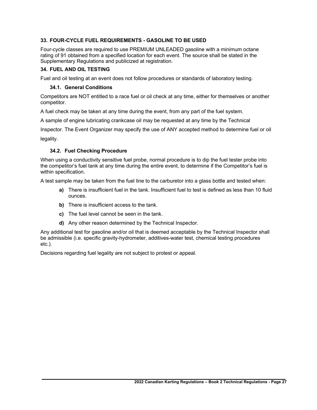#### **33. FOUR-CYCLE FUEL REQUIREMENTS - GASOLINE TO BE USED**

Four-cycle classes are required to use PREMIUM UNLEADED gasoline with a minimum octane rating of 91 obtained from a specified location for each event. The source shall be stated in the Supplementary Regulations and publicized at registration.

#### **34. FUEL AND OIL TESTING**

Fuel and oil testing at an event does not follow procedures or standards of laboratory testing.

#### **34.1. General Conditions**

Competitors are NOT entitled to a race fuel or oil check at any time, either for themselves or another competitor.

A fuel check may be taken at any time during the event, from any part of the fuel system.

A sample of engine lubricating crankcase oil may be requested at any time by the Technical

Inspector. The Event Organizer may specify the use of ANY accepted method to determine fuel or oil legality.

#### **34.2. Fuel Checking Procedure**

When using a conductivity sensitive fuel probe, normal procedure is to dip the fuel tester probe into the competitor's fuel tank at any time during the entire event, to determine if the Competitor's fuel is within specification.

A test sample may be taken from the fuel line to the carburetor into a glass bottle and tested when:

- **a)** There is insufficient fuel in the tank. Insufficient fuel to test is defined as less than 10 fluid ounces.
- **b)** There is insufficient access to the tank.
- **c)** The fuel level cannot be seen in the tank.
- **d)** Any other reason determined by the Technical Inspector.

Any additional test for gasoline and/or oil that is deemed acceptable by the Technical Inspector shall be admissible (i.e. specific gravity-hydrometer, additives-water test, chemical testing procedures etc.).

Decisions regarding fuel legality are not subject to protest or appeal.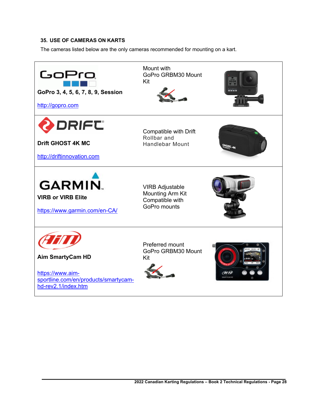# **35. USE OF CAMERAS ON KARTS**

The cameras listed below are the only cameras recommended for mounting on a kart.